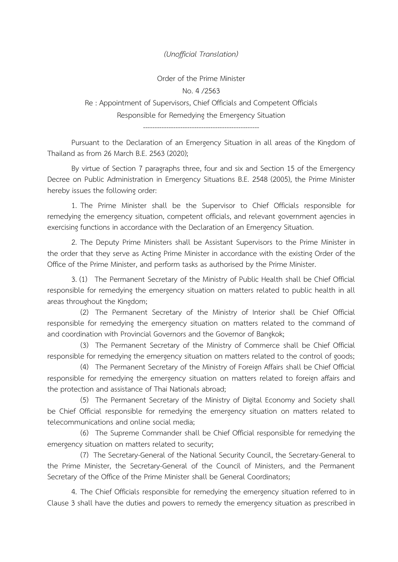## *(Unofficial Translation)*

Order of the Prime Minister No. 4 /2563 Re : Appointment of Supervisors, Chief Officials and Competent Officials Responsible for Remedying the Emergency Situation

--------------------------------------------------

Pursuant to the Declaration of an Emergency Situation in all areas of the Kingdom of Thailand as from 26 March B.E. 2563 (2020);

By virtue of Section 7 paragraphs three, four and six and Section 15 of the Emergency Decree on Public Administration in Emergency Situations B.E. 2548 (2005), the Prime Minister hereby issues the following order:

1. The Prime Minister shall be the Supervisor to Chief Officials responsible for remedying the emergency situation, competent officials, and relevant government agencies in exercising functions in accordance with the Declaration of an Emergency Situation.

2. The Deputy Prime Ministers shall be Assistant Supervisors to the Prime Minister in the order that they serve as Acting Prime Minister in accordance with the existing Order of the Office of the Prime Minister, and perform tasks as authorised by the Prime Minister.

3. (1) The Permanent Secretary of the Ministry of Public Health shall be Chief Official responsible for remedying the emergency situation on matters related to public health in all areas throughout the Kingdom;

(2) The Permanent Secretary of the Ministry of Interior shall be Chief Official responsible for remedying the emergency situation on matters related to the command of and coordination with Provincial Governors and the Governor of Bangkok;

(3) The Permanent Secretary of the Ministry of Commerce shall be Chief Official responsible for remedying the emergency situation on matters related to the control of goods;

(4) The Permanent Secretary of the Ministry of Foreign Affairs shall be Chief Official responsible for remedying the emergency situation on matters related to foreign affairs and the protection and assistance of Thai Nationals abroad;

(5) The Permanent Secretary of the Ministry of Digital Economy and Society shall be Chief Official responsible for remedying the emergency situation on matters related to telecommunications and online social media;

(6) The Supreme Commander shall be Chief Official responsible for remedying the emergency situation on matters related to security;

(7) The Secretary-General of the National Security Council, the Secretary-General to the Prime Minister, the Secretary-General of the Council of Ministers, and the Permanent Secretary of the Office of the Prime Minister shall be General Coordinators;

4. The Chief Officials responsible for remedying the emergency situation referred to in Clause 3 shall have the duties and powers to remedy the emergency situation as prescribed in